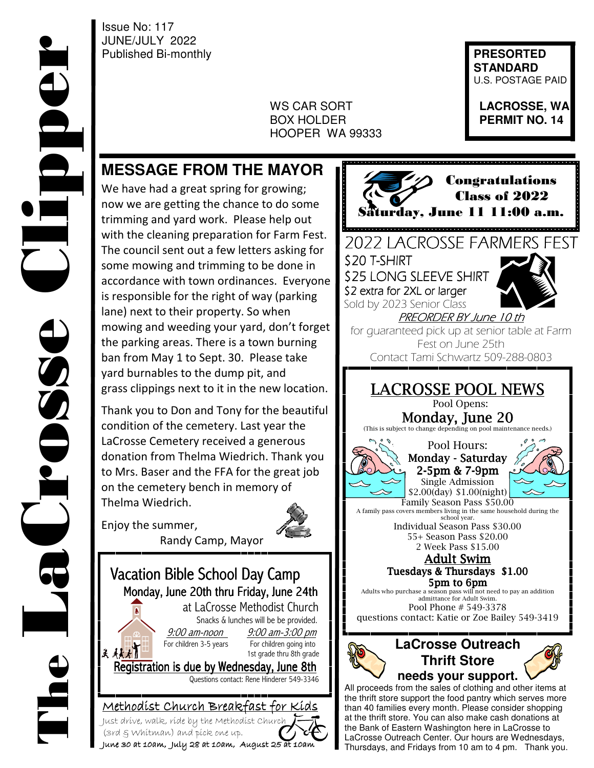Issue No: 117 JUNE/JULY 2022 Published Bi-monthly **Published Bi-monthly** 

 $\overline{\phantom{a}}$ 

 WS CAR SORT **LACROSSE, WA BOX HOLDER <b>PERMIT NO. 14** HOOPER WA 99333

 **STANDARD**  U.S. POSTAGE PAID

## **MESSAGE FROM THE MAYOR**

We have had a great spring for growing; now we are getting the chance to do some trimming and yard work. Please help out with the cleaning preparation for Farm Fest. The council sent out a few letters asking for some mowing and trimming to be done in accordance with town ordinances. Everyone is responsible for the right of way (parking lane) next to their property. So when mowing and weeding your yard, don't forget the parking areas. There is a town burning ban from May 1 to Sept. 30. Please take yard burnables to the dump pit, and grass clippings next to it in the new location.

Thank you to Don and Tony for the beautiful condition of the cemetery. Last year the LaCrosse Cemetery received a generous donation from Thelma Wiedrich. Thank you to Mrs. Baser and the FFA for the great job on the cemetery bench in memory of Thelma Wiedrich.

Enjoy the summer, Randy Camp, Mayor

I Vacation Bible School Day Camp Monday, June 20th thru Friday, June 24th at LaCrosse Methodist Church Snacks & lunches will be be provided. 9:00 am-noon 9:00 am-3:00 pm<br>For children 3-5 years For children going into For children 3-5 years For children going into<br>  $A \overrightarrow{A} A$  1st grade thru 8th grade Registration is due by Wednesday, June 8th Questions contact: Rene Hinderer 549-3346 Methodist Church Breakfast for Kids

 Congratulations Class of 2022 11:00 a.m. 2022 LACROSSE FARMERS FEST \$20 T-SHIRT \$25 LONG SLEEVE SHIRT \$2 extra for 2XL or larger Sold by 2023 Senior Class PREORDER BY June 10 th for guaranteed pick up at senior table at Farm Fest on June 25th Contact Tami Schwartz 509-288-0803 LACROSSE POOL NEWS Pool Opens: Monday, June 20 (This is subject to change depending on pool maintenance needs.) Pool Hours: Monday - Saturday 2-5pm & 7-9pm Single Admission \$2.00(day) \$1.00(night) Family Season Pass \$50.00 A family pass covers members living in the same household during the school year. Individual Season Pass \$30.00 55+ Season Pass \$20.00 2 Week Pass \$15.00 Adult Swim Tuesdays & Thursdays \$1.00 5pm to 6pm Adults who purchase a season pass will not need to pay an addition admittance for Adult Swim. Pool Phone # 549-3378 questions contact: Katie or Zoe Bailey 549-3419 **LaCrosse Outreach Thrift Store needs your support.**  All proceeds from the sales of clothing and other items at the thrift store support the food pantry which serves more than 40 families every month. Please consider shopping at the thrift store. You can also make cash donations at the Bank of Eastern Washington here in LaCrosse to

LaCrosse Outreach Center. Our hours are Wednesdays, Thursdays, and Fridays from 10 am to 4 pm. Thank you.

June 30 at 10am, July 28 at 10am, August 25 at 10am

Just drive, walk, ride by the Methodist Church

(3rd & Whitman) and pick one up.